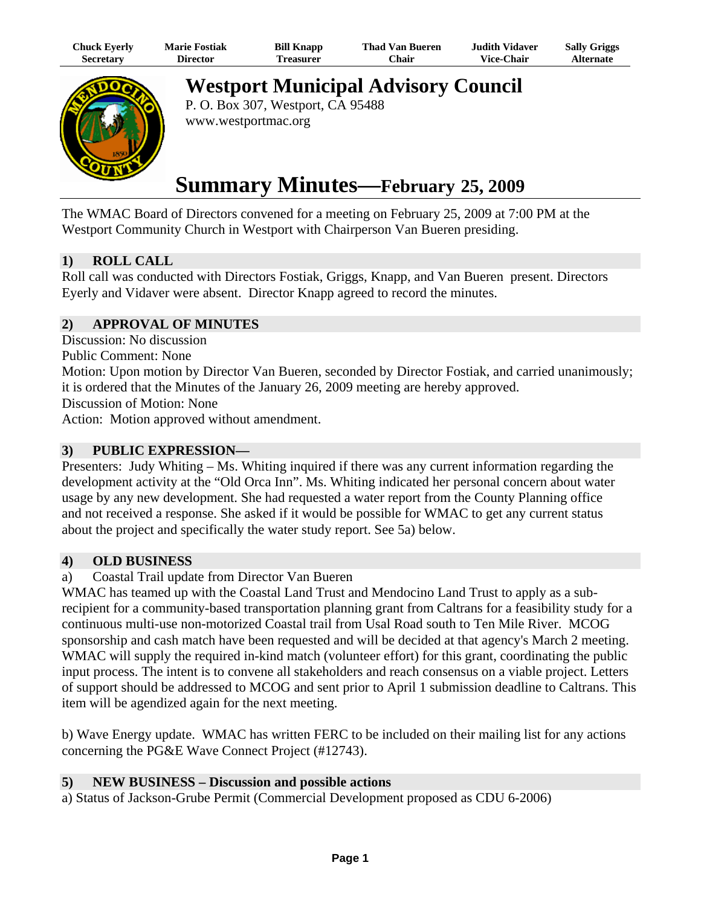| Chuck Eyerly | <b>Marie Fostiak</b> | <b>Bill Knapp</b> | <b>Thad Van Bueren</b> | <b>Judith Vidaver</b> | <b>Sally Griggs</b> |
|--------------|----------------------|-------------------|------------------------|-----------------------|---------------------|
| Secretarv    | Director             | <b>Treasurer</b>  | <b>Chair</b>           | <b>Vice-Chair</b>     | Alternate           |



**Westport Municipal Advisory Council** 

P. O. Box 307, Westport, CA 95488 www.westportmac.org

# **Summary Minutes—February 25, 2009**

The WMAC Board of Directors convened for a meeting on February 25, 2009 at 7:00 PM at the Westport Community Church in Westport with Chairperson Van Bueren presiding.

# **1) ROLL CALL**

Roll call was conducted with Directors Fostiak, Griggs, Knapp, and Van Bueren present. Directors Eyerly and Vidaver were absent. Director Knapp agreed to record the minutes.

# **2) APPROVAL OF MINUTES**

Discussion: No discussion

Public Comment: None

Motion: Upon motion by Director Van Bueren, seconded by Director Fostiak, and carried unanimously; it is ordered that the Minutes of the January 26, 2009 meeting are hereby approved.

Discussion of Motion: None

Action: Motion approved without amendment.

## **3) PUBLIC EXPRESSION—**

Presenters: Judy Whiting – Ms. Whiting inquired if there was any current information regarding the development activity at the "Old Orca Inn". Ms. Whiting indicated her personal concern about water usage by any new development. She had requested a water report from the County Planning office and not received a response. She asked if it would be possible for WMAC to get any current status about the project and specifically the water study report. See 5a) below.

#### **4) OLD BUSINESS**

a) Coastal Trail update from Director Van Bueren

WMAC has teamed up with the Coastal Land Trust and Mendocino Land Trust to apply as a subrecipient for a community-based transportation planning grant from Caltrans for a feasibility study for a continuous multi-use non-motorized Coastal trail from Usal Road south to Ten Mile River. MCOG sponsorship and cash match have been requested and will be decided at that agency's March 2 meeting. WMAC will supply the required in-kind match (volunteer effort) for this grant, coordinating the public input process. The intent is to convene all stakeholders and reach consensus on a viable project. Letters of support should be addressed to MCOG and sent prior to April 1 submission deadline to Caltrans. This item will be agendized again for the next meeting.

b) Wave Energy update. WMAC has written FERC to be included on their mailing list for any actions concerning the PG&E Wave Connect Project (#12743).

## **5) NEW BUSINESS – Discussion and possible actions**

a) Status of Jackson-Grube Permit (Commercial Development proposed as CDU 6-2006)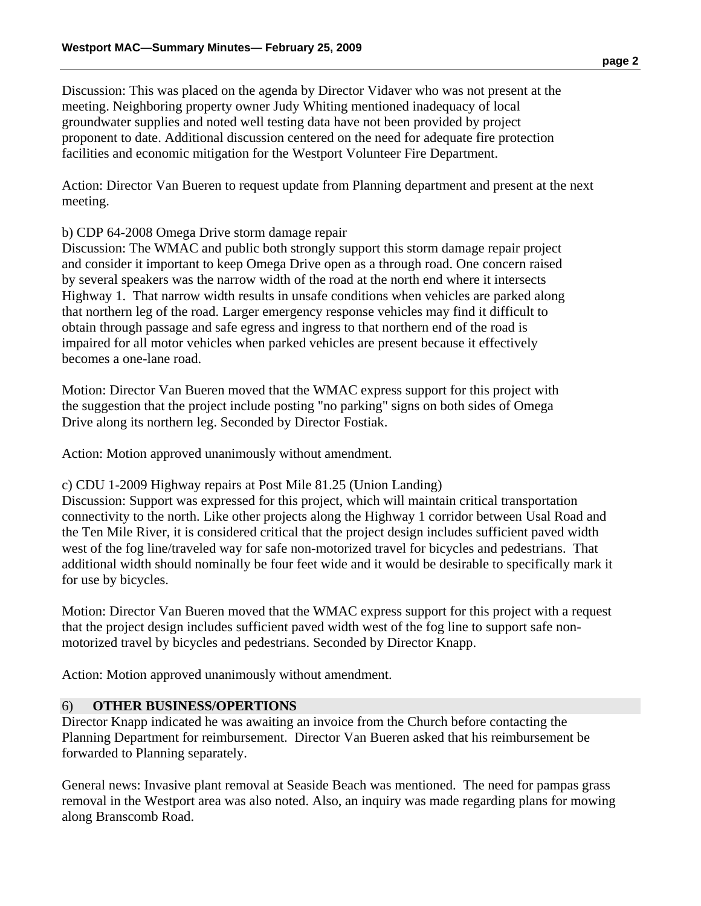Discussion: This was placed on the agenda by Director Vidaver who was not present at the meeting. Neighboring property owner Judy Whiting mentioned inadequacy of local groundwater supplies and noted well testing data have not been provided by project proponent to date. Additional discussion centered on the need for adequate fire protection facilities and economic mitigation for the Westport Volunteer Fire Department.

Action: Director Van Bueren to request update from Planning department and present at the next meeting.

#### b) CDP 64-2008 Omega Drive storm damage repair

Discussion: The WMAC and public both strongly support this storm damage repair project and consider it important to keep Omega Drive open as a through road. One concern raised by several speakers was the narrow width of the road at the north end where it intersects Highway 1. That narrow width results in unsafe conditions when vehicles are parked along that northern leg of the road. Larger emergency response vehicles may find it difficult to obtain through passage and safe egress and ingress to that northern end of the road is impaired for all motor vehicles when parked vehicles are present because it effectively becomes a one-lane road.

Motion: Director Van Bueren moved that the WMAC express support for this project with the suggestion that the project include posting "no parking" signs on both sides of Omega Drive along its northern leg. Seconded by Director Fostiak.

Action: Motion approved unanimously without amendment.

c) CDU 1-2009 Highway repairs at Post Mile 81.25 (Union Landing)

Discussion: Support was expressed for this project, which will maintain critical transportation connectivity to the north. Like other projects along the Highway 1 corridor between Usal Road and the Ten Mile River, it is considered critical that the project design includes sufficient paved width west of the fog line/traveled way for safe non-motorized travel for bicycles and pedestrians. That additional width should nominally be four feet wide and it would be desirable to specifically mark it for use by bicycles.

Motion: Director Van Bueren moved that the WMAC express support for this project with a request that the project design includes sufficient paved width west of the fog line to support safe nonmotorized travel by bicycles and pedestrians. Seconded by Director Knapp.

Action: Motion approved unanimously without amendment.

#### 6) **OTHER BUSINESS/OPERTIONS**

Director Knapp indicated he was awaiting an invoice from the Church before contacting the Planning Department for reimbursement. Director Van Bueren asked that his reimbursement be forwarded to Planning separately.

General news: Invasive plant removal at Seaside Beach was mentioned. The need for pampas grass removal in the Westport area was also noted. Also, an inquiry was made regarding plans for mowing along Branscomb Road.